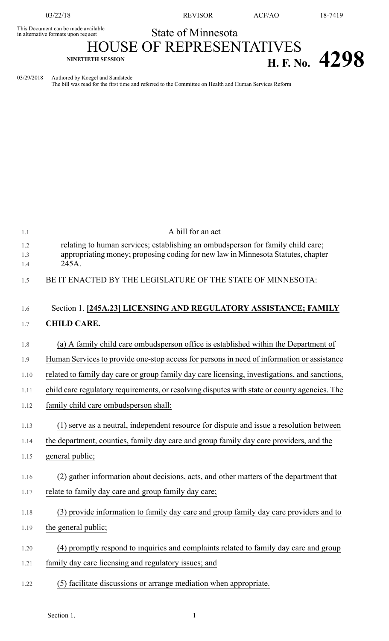03/22/18 REVISOR ACF/AO 18-7419

**NINETIETH SESSION H. F. No. 4298**

## State of Minnesota

## This Document can be made available<br>in alternative formats upon request HOUSE OF REPRESENTATIVES

03/29/2018 Authored by Koegel and Sandstede

The bill was read for the first time and referred to the Committee on Health and Human Services Reform

| 1.1        | A bill for an act                                                                                                                                                   |
|------------|---------------------------------------------------------------------------------------------------------------------------------------------------------------------|
| 1.2<br>1.3 | relating to human services; establishing an ombudsperson for family child care;<br>appropriating money; proposing coding for new law in Minnesota Statutes, chapter |
| 1.4        | 245A.                                                                                                                                                               |
| 1.5        | BE IT ENACTED BY THE LEGISLATURE OF THE STATE OF MINNESOTA:                                                                                                         |
| 1.6        | Section 1. [245A.23] LICENSING AND REGULATORY ASSISTANCE; FAMILY                                                                                                    |
| 1.7        | <b>CHILD CARE.</b>                                                                                                                                                  |
| 1.8        | (a) A family child care ombudsperson office is established within the Department of                                                                                 |
| 1.9        | Human Services to provide one-stop access for persons in need of information or assistance                                                                          |
| 1.10       | related to family day care or group family day care licensing, investigations, and sanctions,                                                                       |
| 1.11       | child care regulatory requirements, or resolving disputes with state or county agencies. The                                                                        |
| 1.12       | family child care ombudsperson shall:                                                                                                                               |
| 1.13       | (1) serve as a neutral, independent resource for dispute and issue a resolution between                                                                             |
| 1.14       | the department, counties, family day care and group family day care providers, and the                                                                              |
| 1.15       | general public;                                                                                                                                                     |
| 1.16       | (2) gather information about decisions, acts, and other matters of the department that                                                                              |
| 1.17       | relate to family day care and group family day care;                                                                                                                |
| 1.18       | (3) provide information to family day care and group family day care providers and to                                                                               |
| 1.19       | the general public;                                                                                                                                                 |
| 1.20       | (4) promptly respond to inquiries and complaints related to family day care and group                                                                               |
| 1.21       | family day care licensing and regulatory issues; and                                                                                                                |
| 1.22       | (5) facilitate discussions or arrange mediation when appropriate.                                                                                                   |